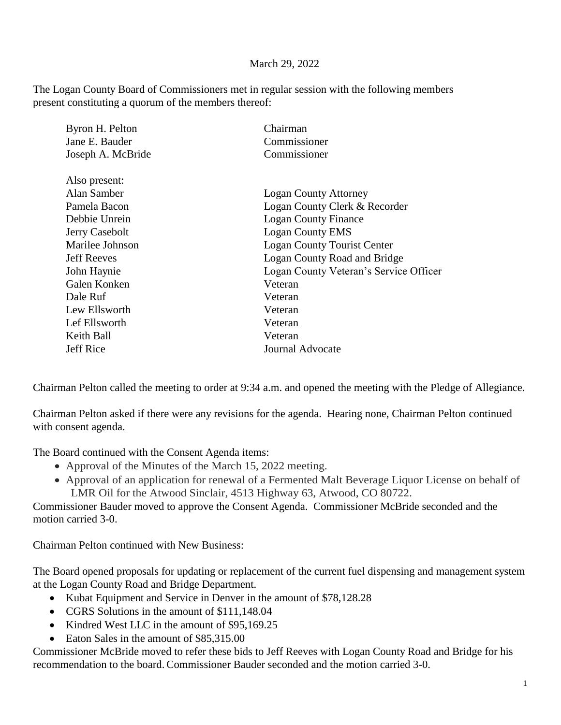## March 29, 2022

The Logan County Board of Commissioners met in regular session with the following members present constituting a quorum of the members thereof:

| Byron H. Pelton    | Chairman                               |
|--------------------|----------------------------------------|
| Jane E. Bauder     | Commissioner                           |
| Joseph A. McBride  | Commissioner                           |
| Also present:      |                                        |
| Alan Samber        | <b>Logan County Attorney</b>           |
| Pamela Bacon       | Logan County Clerk & Recorder          |
| Debbie Unrein      | <b>Logan County Finance</b>            |
| Jerry Casebolt     | <b>Logan County EMS</b>                |
| Marilee Johnson    | Logan County Tourist Center            |
| <b>Jeff Reeves</b> | Logan County Road and Bridge           |
| John Haynie        | Logan County Veteran's Service Officer |
| Galen Konken       | Veteran                                |
| Dale Ruf           | Veteran                                |
| Lew Ellsworth      | Veteran                                |
| Lef Ellsworth      | Veteran                                |
| Keith Ball         | Veteran                                |
| Jeff Rice          | Journal Advocate                       |
|                    |                                        |

Chairman Pelton called the meeting to order at 9:34 a.m. and opened the meeting with the Pledge of Allegiance.

Chairman Pelton asked if there were any revisions for the agenda. Hearing none, Chairman Pelton continued with consent agenda.

The Board continued with the Consent Agenda items:

- Approval of the Minutes of the March 15, 2022 meeting.
- Approval of an application for renewal of a Fermented Malt Beverage Liquor License on behalf of LMR Oil for the Atwood Sinclair, 4513 Highway 63, Atwood, CO 80722.

Commissioner Bauder moved to approve the Consent Agenda. Commissioner McBride seconded and the motion carried 3-0.

Chairman Pelton continued with New Business:

The Board opened proposals for updating or replacement of the current fuel dispensing and management system at the Logan County Road and Bridge Department.

- Kubat Equipment and Service in Denver in the amount of \$78,128.28
- CGRS Solutions in the amount of \$111,148.04
- Kindred West LLC in the amount of \$95,169.25
- Eaton Sales in the amount of \$85,315.00

Commissioner McBride moved to refer these bids to Jeff Reeves with Logan County Road and Bridge for his recommendation to the board. Commissioner Bauder seconded and the motion carried 3-0.